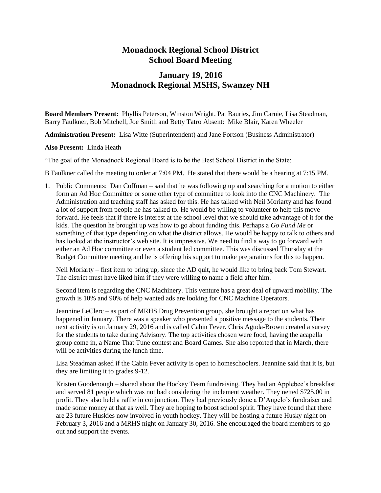## **Monadnock Regional School District School Board Meeting**

## **January 19, 2016 Monadnock Regional MSHS, Swanzey NH**

**Board Members Present:** Phyllis Peterson, Winston Wright, Pat Bauries, Jim Carnie, Lisa Steadman, Barry Faulkner, Bob Mitchell, Joe Smith and Betty Tatro Absent: Mike Blair, Karen Wheeler

**Administration Present:** Lisa Witte (Superintendent) and Jane Fortson (Business Administrator)

**Also Present:** Linda Heath

"The goal of the Monadnock Regional Board is to be the Best School District in the State:

B Faulkner called the meeting to order at 7:04 PM. He stated that there would be a hearing at 7:15 PM.

1. Public Comments: Dan Coffman – said that he was following up and searching for a motion to either form an Ad Hoc Committee or some other type of committee to look into the CNC Machinery. The Administration and teaching staff has asked for this. He has talked with Neil Moriarty and has found a lot of support from people he has talked to. He would be willing to volunteer to help this move forward. He feels that if there is interest at the school level that we should take advantage of it for the kids. The question he brought up was how to go about funding this. Perhaps a *Go Fund Me* or something of that type depending on what the district allows. He would be happy to talk to others and has looked at the instructor's web site. It is impressive. We need to find a way to go forward with either an Ad Hoc committee or even a student led committee. This was discussed Thursday at the Budget Committee meeting and he is offering his support to make preparations for this to happen.

Neil Moriarty – first item to bring up, since the AD quit, he would like to bring back Tom Stewart. The district must have liked him if they were willing to name a field after him.

Second item is regarding the CNC Machinery. This venture has a great deal of upward mobility. The growth is 10% and 90% of help wanted ads are looking for CNC Machine Operators.

Jeannine LeClerc – as part of MRHS Drug Prevention group, she brought a report on what has happened in January. There was a speaker who presented a positive message to the students. Their next activity is on January 29, 2016 and is called Cabin Fever. Chris Aguda-Brown created a survey for the students to take during Advisory. The top activities chosen were food, having the acapella group come in, a Name That Tune contest and Board Games. She also reported that in March, there will be activities during the lunch time.

Lisa Steadman asked if the Cabin Fever activity is open to homeschoolers. Jeannine said that it is, but they are limiting it to grades 9-12.

Kristen Goodenough – shared about the Hockey Team fundraising. They had an Applebee's breakfast and served 81 people which was not bad considering the inclement weather. They netted \$725.00 in profit. They also held a raffle in conjunction. They had previously done a D'Angelo's fundraiser and made some money at that as well. They are hoping to boost school spirit. They have found that there are 23 future Huskies now involved in youth hockey. They will be hosting a future Husky night on February 3, 2016 and a MRHS night on January 30, 2016. She encouraged the board members to go out and support the events.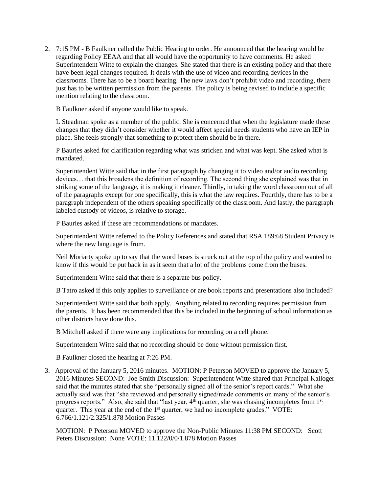2. 7:15 PM - B Faulkner called the Public Hearing to order. He announced that the hearing would be regarding Policy EEAA and that all would have the opportunity to have comments. He asked Superintendent Witte to explain the changes. She stated that there is an existing policy and that there have been legal changes required. It deals with the use of video and recording devices in the classrooms. There has to be a board hearing. The new laws don't prohibit video and recording, there just has to be written permission from the parents. The policy is being revised to include a specific mention relating to the classroom.

B Faulkner asked if anyone would like to speak.

L Steadman spoke as a member of the public. She is concerned that when the legislature made these changes that they didn't consider whether it would affect special needs students who have an IEP in place. She feels strongly that something to protect them should be in there.

P Bauries asked for clarification regarding what was stricken and what was kept. She asked what is mandated.

Superintendent Witte said that in the first paragraph by changing it to video and/or audio recording devices… that this broadens the definition of recording. The second thing she explained was that in striking some of the language, it is making it cleaner. Thirdly, in taking the word classroom out of all of the paragraphs except for one specifically, this is what the law requires. Fourthly, there has to be a paragraph independent of the others speaking specifically of the classroom. And lastly, the paragraph labeled custody of videos, is relative to storage.

P Bauries asked if these are recommendations or mandates.

Superintendent Witte referred to the Policy References and stated that RSA 189:68 Student Privacy is where the new language is from.

Neil Moriarty spoke up to say that the word buses is struck out at the top of the policy and wanted to know if this would be put back in as it seem that a lot of the problems come from the buses.

Superintendent Witte said that there is a separate bus policy.

B Tatro asked if this only applies to surveillance or are book reports and presentations also included?

Superintendent Witte said that both apply. Anything related to recording requires permission from the parents. It has been recommended that this be included in the beginning of school information as other districts have done this.

B Mitchell asked if there were any implications for recording on a cell phone.

Superintendent Witte said that no recording should be done without permission first.

B Faulkner closed the hearing at 7:26 PM.

3. Approval of the January 5, 2016 minutes. MOTION: P Peterson MOVED to approve the January 5, 2016 Minutes SECOND: Joe Smith Discussion: Superintendent Witte shared that Principal Kalloger said that the minutes stated that she "personally signed all of the senior's report cards." What she actually said was that "she reviewed and personally signed/made comments on many of the senior's progress reports." Also, she said that "last year,  $4<sup>th</sup>$  quarter, she was chasing incompletes from  $1<sup>st</sup>$ quarter. This year at the end of the  $1<sup>st</sup>$  quarter, we had no incomplete grades." VOTE: 6.766/1.121/2.325/1.878 Motion Passes

MOTION: P Peterson MOVED to approve the Non-Public Minutes 11:38 PM SECOND: Scott Peters Discussion: None VOTE: 11.122/0/0/1.878 Motion Passes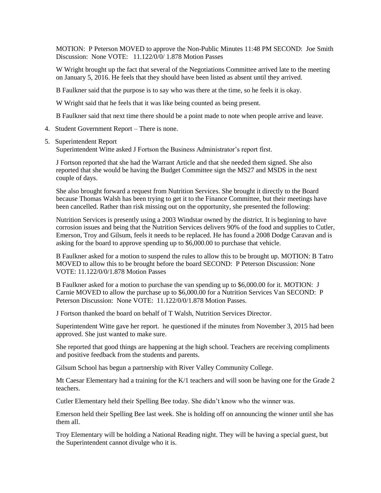MOTION: P Peterson MOVED to approve the Non-Public Minutes 11:48 PM SECOND: Joe Smith Discussion: None VOTE: 11.122/0/0/ 1.878 Motion Passes

W Wright brought up the fact that several of the Negotiations Committee arrived late to the meeting on January 5, 2016. He feels that they should have been listed as absent until they arrived.

B Faulkner said that the purpose is to say who was there at the time, so he feels it is okay.

W Wright said that he feels that it was like being counted as being present.

B Faulkner said that next time there should be a point made to note when people arrive and leave.

4. Student Government Report – There is none.

## 5. Superintendent Report

Superintendent Witte asked J Fortson the Business Administrator's report first.

J Fortson reported that she had the Warrant Article and that she needed them signed. She also reported that she would be having the Budget Committee sign the MS27 and MSDS in the next couple of days.

She also brought forward a request from Nutrition Services. She brought it directly to the Board because Thomas Walsh has been trying to get it to the Finance Committee, but their meetings have been cancelled. Rather than risk missing out on the opportunity, she presented the following:

Nutrition Services is presently using a 2003 Windstar owned by the district. It is beginning to have corrosion issues and being that the Nutrition Services delivers 90% of the food and supplies to Cutler, Emerson, Troy and Gilsum, feels it needs to be replaced. He has found a 2008 Dodge Caravan and is asking for the board to approve spending up to \$6,000.00 to purchase that vehicle.

B Faulkner asked for a motion to suspend the rules to allow this to be brought up. MOTION: B Tatro MOVED to allow this to be brought before the board SECOND: P Peterson Discussion: None VOTE: 11.122/0/0/1.878 Motion Passes

B Faulkner asked for a motion to purchase the van spending up to \$6,000.00 for it. MOTION: J Carnie MOVED to allow the purchase up to \$6,000.00 for a Nutrition Services Van SECOND: P Peterson Discussion: None VOTE: 11.122/0/0/1.878 Motion Passes.

J Fortson thanked the board on behalf of T Walsh, Nutrition Services Director.

Superintendent Witte gave her report. he questioned if the minutes from November 3, 2015 had been approved. She just wanted to make sure.

She reported that good things are happening at the high school. Teachers are receiving compliments and positive feedback from the students and parents.

Gilsum School has begun a partnership with River Valley Community College.

Mt Caesar Elementary had a training for the K/1 teachers and will soon be having one for the Grade 2 teachers.

Cutler Elementary held their Spelling Bee today. She didn't know who the winner was.

Emerson held their Spelling Bee last week. She is holding off on announcing the winner until she has them all.

Troy Elementary will be holding a National Reading night. They will be having a special guest, but the Superintendent cannot divulge who it is.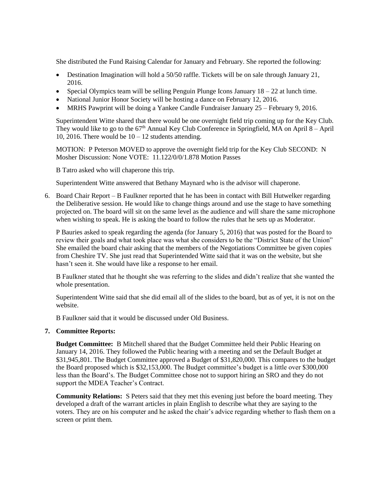She distributed the Fund Raising Calendar for January and February. She reported the following:

- Destination Imagination will hold a 50/50 raffle. Tickets will be on sale through January 21, 2016.
- Special Olympics team will be selling Penguin Plunge Icons January  $18 22$  at lunch time.
- National Junior Honor Society will be hosting a dance on February 12, 2016.
- MRHS Pawprint will be doing a Yankee Candle Fundraiser January 25 February 9, 2016.

Superintendent Witte shared that there would be one overnight field trip coming up for the Key Club. They would like to go to the  $67<sup>th</sup>$  Annual Key Club Conference in Springfield, MA on April  $8 -$ April 10, 2016. There would be  $10 - 12$  students attending.

MOTION: P Peterson MOVED to approve the overnight field trip for the Key Club SECOND: N Mosher Discussion: None VOTE: 11.122/0/0/1.878 Motion Passes

B Tatro asked who will chaperone this trip.

Superintendent Witte answered that Bethany Maynard who is the advisor will chaperone.

6. Board Chair Report – B Faulkner reported that he has been in contact with Bill Hutwelker regarding the Deliberative session. He would like to change things around and use the stage to have something projected on. The board will sit on the same level as the audience and will share the same microphone when wishing to speak. He is asking the board to follow the rules that he sets up as Moderator.

P Bauries asked to speak regarding the agenda (for January 5, 2016) that was posted for the Board to review their goals and what took place was what she considers to be the "District State of the Union" She emailed the board chair asking that the members of the Negotiations Committee be given copies from Cheshire TV. She just read that Superintended Witte said that it was on the website, but she hasn't seen it. She would have like a response to her email.

B Faulkner stated that he thought she was referring to the slides and didn't realize that she wanted the whole presentation.

Superintendent Witte said that she did email all of the slides to the board, but as of yet, it is not on the website.

B Faulkner said that it would be discussed under Old Business.

## **7. Committee Reports:**

**Budget Committee:** B Mitchell shared that the Budget Committee held their Public Hearing on January 14, 2016. They followed the Public hearing with a meeting and set the Default Budget at \$31,945,801. The Budget Committee approved a Budget of \$31,820,000. This compares to the budget the Board proposed which is \$32,153,000. The Budget committee's budget is a little over \$300,000 less than the Board's. The Budget Committee chose not to support hiring an SRO and they do not support the MDEA Teacher's Contract.

**Community Relations:** S Peters said that they met this evening just before the board meeting. They developed a draft of the warrant articles in plain English to describe what they are saying to the voters. They are on his computer and he asked the chair's advice regarding whether to flash them on a screen or print them.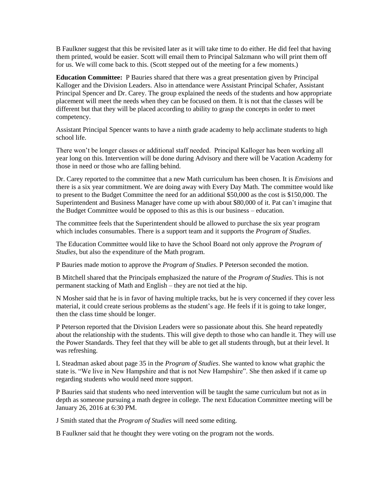B Faulkner suggest that this be revisited later as it will take time to do either. He did feel that having them printed, would be easier. Scott will email them to Principal Salzmann who will print them off for us. We will come back to this. (Scott stepped out of the meeting for a few moments.)

**Education Committee:** P Bauries shared that there was a great presentation given by Principal Kalloger and the Division Leaders. Also in attendance were Assistant Principal Schafer, Assistant Principal Spencer and Dr. Carey. The group explained the needs of the students and how appropriate placement will meet the needs when they can be focused on them. It is not that the classes will be different but that they will be placed according to ability to grasp the concepts in order to meet competency.

Assistant Principal Spencer wants to have a ninth grade academy to help acclimate students to high school life.

There won't be longer classes or additional staff needed. Principal Kalloger has been working all year long on this. Intervention will be done during Advisory and there will be Vacation Academy for those in need or those who are falling behind.

Dr. Carey reported to the committee that a new Math curriculum has been chosen. It is *Envisions* and there is a six year commitment. We are doing away with Every Day Math. The committee would like to present to the Budget Committee the need for an additional \$50,000 as the cost is \$150,000. The Superintendent and Business Manager have come up with about \$80,000 of it. Pat can't imagine that the Budget Committee would be opposed to this as this is our business – education.

The committee feels that the Superintendent should be allowed to purchase the six year program which includes consumables. There is a support team and it supports the *Program of Studies*.

The Education Committee would like to have the School Board not only approve the *Program of Studies*, but also the expenditure of the Math program.

P Bauries made motion to approve the *Program of Studies*. P Peterson seconded the motion.

B Mitchell shared that the Principals emphasized the nature of the *Program of Studies*. This is not permanent stacking of Math and English – they are not tied at the hip.

N Mosher said that he is in favor of having multiple tracks, but he is very concerned if they cover less material, it could create serious problems as the student's age. He feels if it is going to take longer, then the class time should be longer.

P Peterson reported that the Division Leaders were so passionate about this. She heard repeatedly about the relationship with the students. This will give depth to those who can handle it. They will use the Power Standards. They feel that they will be able to get all students through, but at their level. It was refreshing.

L Steadman asked about page 35 in the *Program of Studies*. She wanted to know what graphic the state is. "We live in New Hampshire and that is not New Hampshire". She then asked if it came up regarding students who would need more support.

P Bauries said that students who need intervention will be taught the same curriculum but not as in depth as someone pursuing a math degree in college. The next Education Committee meeting will be January 26, 2016 at 6:30 PM.

J Smith stated that the *Program of Studies* will need some editing.

B Faulkner said that he thought they were voting on the program not the words.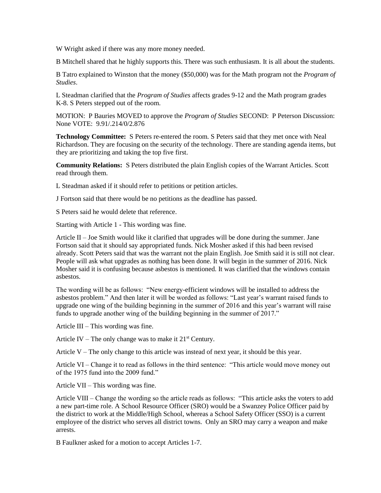W Wright asked if there was any more money needed.

B Mitchell shared that he highly supports this. There was such enthusiasm. It is all about the students.

B Tatro explained to Winston that the money (\$50,000) was for the Math program not the *Program of Studies*.

L Steadman clarified that the *Program of Studies* affects grades 9-12 and the Math program grades K-8. S Peters stepped out of the room.

MOTION: P Bauries MOVED to approve the *Program of Studies* SECOND: P Peterson Discussion: None VOTE: 9.91/.214/0/2.876

**Technology Committee:** S Peters re-entered the room. S Peters said that they met once with Neal Richardson. They are focusing on the security of the technology. There are standing agenda items, but they are prioritizing and taking the top five first.

**Community Relations:** S Peters distributed the plain English copies of the Warrant Articles. Scott read through them.

L Steadman asked if it should refer to petitions or petition articles.

J Fortson said that there would be no petitions as the deadline has passed.

S Peters said he would delete that reference.

Starting with Article 1 - This wording was fine.

Article  $II$  – Joe Smith would like it clarified that upgrades will be done during the summer. Jane Fortson said that it should say appropriated funds. Nick Mosher asked if this had been revised already. Scott Peters said that was the warrant not the plain English. Joe Smith said it is still not clear. People will ask what upgrades as nothing has been done. It will begin in the summer of 2016. Nick Mosher said it is confusing because asbestos is mentioned. It was clarified that the windows contain asbestos.

The wording will be as follows: "New energy-efficient windows will be installed to address the asbestos problem." And then later it will be worded as follows: "Last year's warrant raised funds to upgrade one wing of the building beginning in the summer of 2016 and this year's warrant will raise funds to upgrade another wing of the building beginning in the summer of 2017."

Article III – This wording was fine.

Article IV – The only change was to make it  $21<sup>st</sup>$  Century.

Article  $V$  – The only change to this article was instead of next year, it should be this year.

Article VI – Change it to read as follows in the third sentence: "This article would move money out of the 1975 fund into the 2009 fund."

Article VII – This wording was fine.

Article VIII – Change the wording so the article reads as follows: "This article asks the voters to add a new part-time role. A School Resource Officer (SRO) would be a Swanzey Police Officer paid by the district to work at the Middle/High School, whereas a School Safety Officer (SSO) is a current employee of the district who serves all district towns. Only an SRO may carry a weapon and make arrests.

B Faulkner asked for a motion to accept Articles 1-7.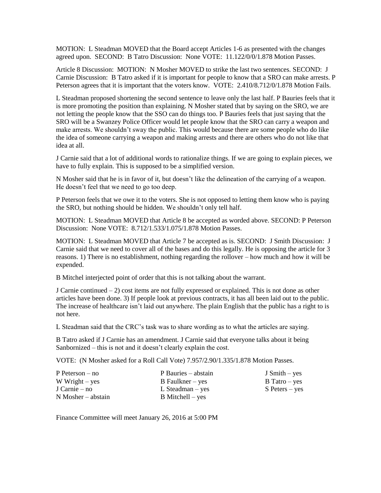MOTION: L Steadman MOVED that the Board accept Articles 1-6 as presented with the changes agreed upon. SECOND: B Tatro Discussion: None VOTE: 11.122/0/0/1.878 Motion Passes.

Article 8 Discussion: MOTION: N Mosher MOVED to strike the last two sentences. SECOND: J Carnie Discussion: B Tatro asked if it is important for people to know that a SRO can make arrests. P Peterson agrees that it is important that the voters know. VOTE: 2.410/8.712/0/1.878 Motion Fails.

L Steadman proposed shortening the second sentence to leave only the last half. P Bauries feels that it is more promoting the position than explaining. N Mosher stated that by saying on the SRO, we are not letting the people know that the SSO can do things too. P Bauries feels that just saying that the SRO will be a Swanzey Police Officer would let people know that the SRO can carry a weapon and make arrests. We shouldn't sway the public. This would because there are some people who do like the idea of someone carrying a weapon and making arrests and there are others who do not like that idea at all.

J Carnie said that a lot of additional words to rationalize things. If we are going to explain pieces, we have to fully explain. This is supposed to be a simplified version.

N Mosher said that he is in favor of it, but doesn't like the delineation of the carrying of a weapon. He doesn't feel that we need to go too deep.

P Peterson feels that we owe it to the voters. She is not opposed to letting them know who is paying the SRO, but nothing should be hidden. We shouldn't only tell half.

MOTION: L Steadman MOVED that Article 8 be accepted as worded above. SECOND: P Peterson Discussion: None VOTE: 8.712/1.533/1.075/1.878 Motion Passes.

MOTION: L Steadman MOVED that Article 7 be accepted as is. SECOND: J Smith Discussion: J Carnie said that we need to cover all of the bases and do this legally. He is opposing the article for 3 reasons. 1) There is no establishment, nothing regarding the rollover – how much and how it will be expended.

B Mitchel interjected point of order that this is not talking about the warrant.

J Carnie continued  $-2$ ) cost items are not fully expressed or explained. This is not done as other articles have been done. 3) If people look at previous contracts, it has all been laid out to the public. The increase of healthcare isn't laid out anywhere. The plain English that the public has a right to is not here.

L Steadman said that the CRC's task was to share wording as to what the articles are saying.

B Tatro asked if J Carnie has an amendment. J Carnie said that everyone talks about it being Sanbornized – this is not and it doesn't clearly explain the cost.

VOTE: (N Mosher asked for a Roll Call Vote) 7.957/2.90/1.335/1.878 Motion Passes.

| $P$ Peterson – no    | P Bauries – abstain | $J \text{ Smith} - \text{yes}$ |
|----------------------|---------------------|--------------------------------|
| W Wright $-$ yes     | $B$ Faulkner – yes  | $B$ Tatro – yes                |
| J Carnie – no        | $L$ Steadman – yes  | $S$ Peters – yes               |
| $N$ Mosher – abstain | $B$ Mitchell – yes  |                                |

Finance Committee will meet January 26, 2016 at 5:00 PM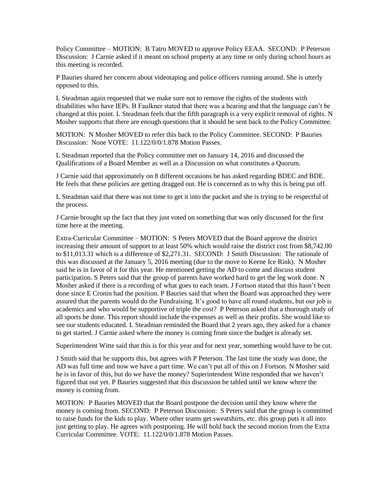Policy Committee – MOTION: B Tatro MOVED to approve Policy EEAA. SECOND: P Peterson Discussion: J Carnie asked if it meant on school property at any time or only during school hours as this meeting is recorded.

P Bauries shared her concern about videotaping and police officers running around. She is utterly opposed to this.

L Steadman again requested that we make sure not to remove the rights of the students with disabilities who have IEPs. B Faulkner stated that there was a hearing and that the language can't be changed at this point. L Steadman feels that the fifth paragraph is a very explicit removal of rights. N Mosher supports that there are enough questions that it should be sent back to the Policy Committee.

MOTION: N Mosher MOVED to refer this back to the Policy Committee. SECOND: P Bauries Discussion: None VOTE: 11.122/0/0/1.878 Motion Passes.

L Steadman reported that the Policy committee met on January 14, 2016 and discussed the Qualifications of a Board Member as well as a Discussion on what constitutes a Quorum.

J Carnie said that approximately on 8 different occasions he has asked regarding BDEC and BDE. He feels that these policies are getting dragged out. He is concerned as to why this is being put off.

L Steadman said that there was not time to get it into the packet and she is trying to be respectful of the process.

J Carnie brought up the fact that they just voted on something that was only discussed for the first time here at the meeting.

Extra-Curricular Committee – MOTION: S Peters MOVED that the Board approve the district increasing their amount of support to at least 50% which would raise the district cost from \$8,742.00 to \$11,013.31 which is a difference of \$2,271.31. SECOND: J Smith Discussion: The rationale of this was discussed at the January 5, 2016 meeting (due to the move to Keene Ice Rink). N Mosher said he is in favor of it for this year. He mentioned getting the AD to come and discuss student participation. S Peters said that the group of parents have worked hard to get the leg work done. N Mosher asked if there is a recording of what goes to each team. J Fortson stated that this hasn't been done since E Cronin had the position. P Bauries said that when the Board was approached they were assured that the parents would do the Fundraising. It's good to have all round students, but our job is academics and who would be supportive of triple the cost? P Peterson asked that a thorough study of all sports be done. This report should include the expenses as well as their profits. She would like to see our students educated. L Steadman reminded the Board that 2 years ago, they asked for a chance to get started. J Carnie asked where the money is coming from since the budget is already set.

Superintendent Witte said that this is for this year and for next year, something would have to be cut.

J Smith said that he supports this, but agrees with P Peterson. The last time the study was done, the AD was full time and now we have a part time. We can't put all of this on J Fortson. N Mosher said he is in favor of this, but do we have the money? Superintendent Witte responded that we haven't figured that out yet. P Bauries suggested that this discussion be tabled until we know where the money is coming from.

MOTION: P Bauries MOVED that the Board postpone the decision until they know where the money is coming from. SECOND: P Peterson Discussion: S Peters said that the group is committed to raise funds for the kids to play. Where other teams get sweatshirts, etc. this group puts it all into just getting to play. He agrees with postponing. He will hold back the second motion from the Extra Curricular Committee. VOTE: 11.122/0/0/1.878 Motion Passes.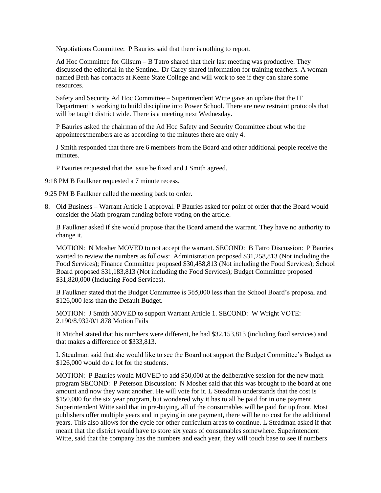Negotiations Committee: P Bauries said that there is nothing to report.

Ad Hoc Committee for Gilsum – B Tatro shared that their last meeting was productive. They discussed the editorial in the Sentinel. Dr Carey shared information for training teachers. A woman named Beth has contacts at Keene State College and will work to see if they can share some resources.

Safety and Security Ad Hoc Committee – Superintendent Witte gave an update that the IT Department is working to build discipline into Power School. There are new restraint protocols that will be taught district wide. There is a meeting next Wednesday.

P Bauries asked the chairman of the Ad Hoc Safety and Security Committee about who the appointees/members are as according to the minutes there are only 4.

J Smith responded that there are 6 members from the Board and other additional people receive the minutes.

P Bauries requested that the issue be fixed and J Smith agreed.

9:18 PM B Faulkner requested a 7 minute recess.

9:25 PM B Faulkner called the meeting back to order.

8. Old Business – Warrant Article 1 approval. P Bauries asked for point of order that the Board would consider the Math program funding before voting on the article.

B Faulkner asked if she would propose that the Board amend the warrant. They have no authority to change it.

MOTION: N Mosher MOVED to not accept the warrant. SECOND: B Tatro Discussion: P Bauries wanted to review the numbers as follows: Administration proposed \$31,258,813 (Not including the Food Services); Finance Committee proposed \$30,458,813 (Not including the Food Services); School Board proposed \$31,183,813 (Not including the Food Services); Budget Committee proposed \$31,820,000 (Including Food Services).

B Faulkner stated that the Budget Committee is 365,000 less than the School Board's proposal and \$126,000 less than the Default Budget.

MOTION: J Smith MOVED to support Warrant Article 1. SECOND: W Wright VOTE: 2.190/8.932/0/1.878 Motion Fails

B Mitchel stated that his numbers were different, he had \$32,153,813 (including food services) and that makes a difference of \$333,813.

L Steadman said that she would like to see the Board not support the Budget Committee's Budget as \$126,000 would do a lot for the students.

MOTION: P Bauries would MOVED to add \$50,000 at the deliberative session for the new math program SECOND: P Peterson Discussion: N Mosher said that this was brought to the board at one amount and now they want another. He will vote for it. L Steadman understands that the cost is \$150,000 for the six year program, but wondered why it has to all be paid for in one payment. Superintendent Witte said that in pre-buying, all of the consumables will be paid for up front. Most publishers offer multiple years and in paying in one payment, there will be no cost for the additional years. This also allows for the cycle for other curriculum areas to continue. L Steadman asked if that meant that the district would have to store six years of consumables somewhere. Superintendent Witte, said that the company has the numbers and each year, they will touch base to see if numbers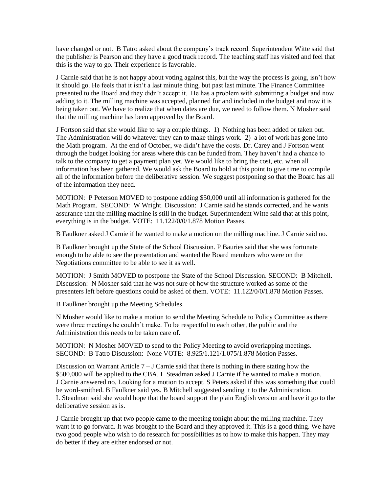have changed or not. B Tatro asked about the company's track record. Superintendent Witte said that the publisher is Pearson and they have a good track record. The teaching staff has visited and feel that this is the way to go. Their experience is favorable.

J Carnie said that he is not happy about voting against this, but the way the process is going, isn't how it should go. He feels that it isn't a last minute thing, but past last minute. The Finance Committee presented to the Board and they didn't accept it. He has a problem with submitting a budget and now adding to it. The milling machine was accepted, planned for and included in the budget and now it is being taken out. We have to realize that when dates are due, we need to follow them. N Mosher said that the milling machine has been approved by the Board.

J Fortson said that she would like to say a couple things. 1) Nothing has been added or taken out. The Administration will do whatever they can to make things work. 2) a lot of work has gone into the Math program. At the end of October, we didn't have the costs. Dr. Carey and J Fortson went through the budget looking for areas where this can be funded from. They haven't had a chance to talk to the company to get a payment plan yet. We would like to bring the cost, etc. when all information has been gathered. We would ask the Board to hold at this point to give time to compile all of the information before the deliberative session. We suggest postponing so that the Board has all of the information they need.

MOTION: P Peterson MOVED to postpone adding \$50,000 until all information is gathered for the Math Program. SECOND: W Wright. Discussion: J Carnie said he stands corrected, and he wants assurance that the milling machine is still in the budget. Superintendent Witte said that at this point, everything is in the budget. VOTE: 11.122/0/0/1.878 Motion Passes.

B Faulkner asked J Carnie if he wanted to make a motion on the milling machine. J Carnie said no.

B Faulkner brought up the State of the School Discussion. P Bauries said that she was fortunate enough to be able to see the presentation and wanted the Board members who were on the Negotiations committee to be able to see it as well.

MOTION: J Smith MOVED to postpone the State of the School Discussion. SECOND: B Mitchell. Discussion: N Mosher said that he was not sure of how the structure worked as some of the presenters left before questions could be asked of them. VOTE: 11.122/0/0/1.878 Motion Passes.

B Faulkner brought up the Meeting Schedules.

N Mosher would like to make a motion to send the Meeting Schedule to Policy Committee as there were three meetings he couldn't make. To be respectful to each other, the public and the Administration this needs to be taken care of.

MOTION: N Mosher MOVED to send to the Policy Meeting to avoid overlapping meetings. SECOND: B Tatro Discussion: None VOTE: 8.925/1.121/1.075/1.878 Motion Passes.

Discussion on Warrant Article  $7 - J$  Carnie said that there is nothing in there stating how the \$500,000 will be applied to the CBA. L Steadman asked J Carnie if he wanted to make a motion. J Carnie answered no. Looking for a motion to accept. S Peters asked if this was something that could be word-smithed. B Faulkner said yes. B Mitchell suggested sending it to the Administration. L Steadman said she would hope that the board support the plain English version and have it go to the deliberative session as is.

J Carnie brought up that two people came to the meeting tonight about the milling machine. They want it to go forward. It was brought to the Board and they approved it. This is a good thing. We have two good people who wish to do research for possibilities as to how to make this happen. They may do better if they are either endorsed or not.